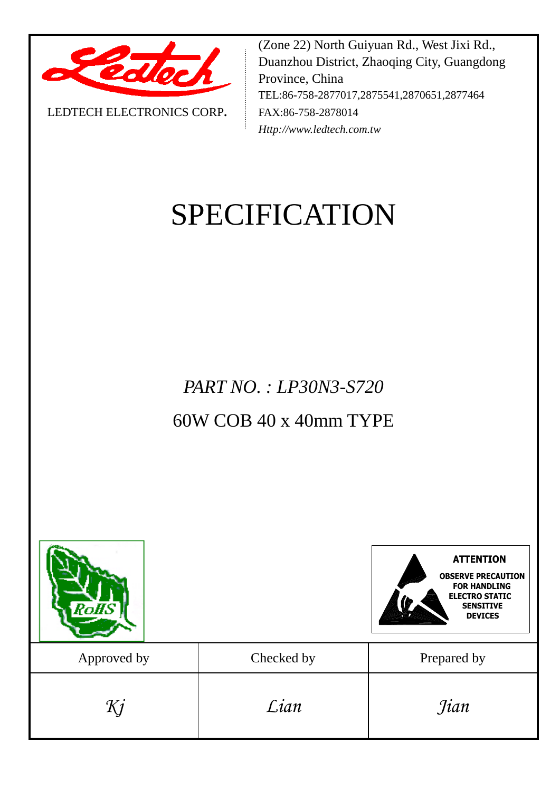

LEDTECH ELECTRONICS CORP**.**

(Zone 22) North Guiyuan Rd., West Jixi Rd., Duanzhou District, Zhaoqing City, Guangdong Province, China TEL:86-758-2877017,2875541,2870651,2877464 FAX:86-758-2878014 *Http://www.ledtech.com.tw*

# SPECIFICATION

*PART NO. : LP30N3-S720*

# 60W COB 40 x 40mm TYPE

| RoHS        |            | <b>ATTENTION</b><br><b>OBSERVE PRECAUTION</b><br><b>FOR HANDLING</b><br><b>ELECTRO STATIC</b><br><b>SENSITIVE</b><br><b>DEVICES</b> |
|-------------|------------|-------------------------------------------------------------------------------------------------------------------------------------|
| Approved by | Checked by | Prepared by                                                                                                                         |
| Kj          | Lian       | <i>Jian</i>                                                                                                                         |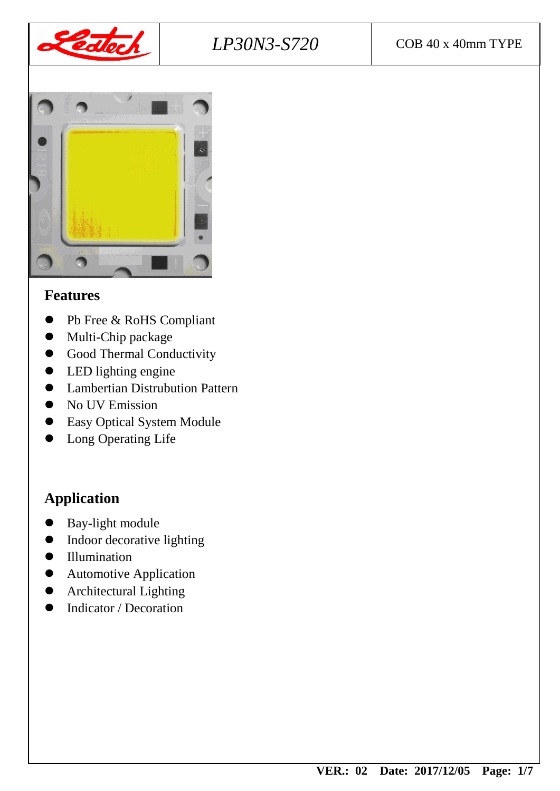



#### **Features**

- Pb Free & RoHS Compliant
- Multi-Chip package
- **Good Thermal Conductivity**
- LED lighting engine
- Lambertian Distrubution Pattern
- $\bullet$  No UV Emission
- Easy Optical System Module
- Long Operating Life

# **Application**

- Bay-light module
- Indoor decorative lighting
- $\bullet$  Illumination
- Automotive Application
- **•** Architectural Lighting
- Indicator / Decoration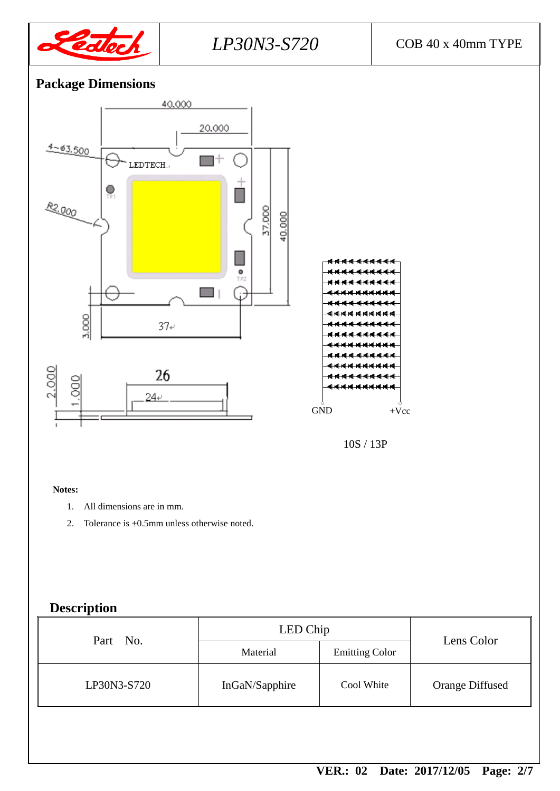

# *LP30N3-S720* COB 40 x 40mm TYPE

## **Package Dimensions**



#### **Notes:**

- 1. All dimensions are in mm.
- 2. Tolerance is ±0.5mm unless otherwise noted.

## **Description**

| Part No.    | LED Chip       | Lens Color            |                 |
|-------------|----------------|-----------------------|-----------------|
|             | Material       | <b>Emitting Color</b> |                 |
| LP30N3-S720 | InGaN/Sapphire | Cool White            | Orange Diffused |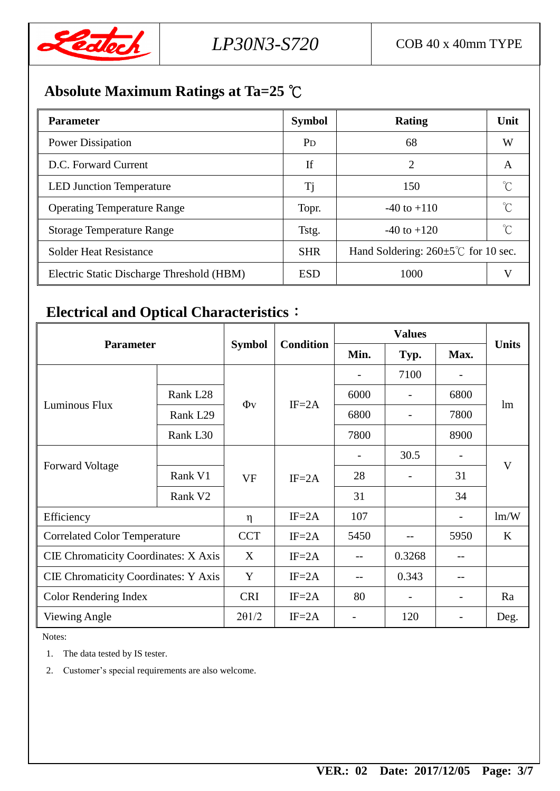

# **Absolute Maximum Ratings at Ta=25** ℃

| <b>Parameter</b>                          | <b>Symbol</b>         | <b>Rating</b>                                     | Unit         |  |
|-------------------------------------------|-----------------------|---------------------------------------------------|--------------|--|
| <b>Power Dissipation</b>                  | <b>P</b> <sub>D</sub> | 68                                                | W            |  |
| D.C. Forward Current                      | If                    | 2                                                 | A            |  |
| <b>LED Junction Temperature</b>           | Tj                    | 150                                               | $^{\circ}$ C |  |
| <b>Operating Temperature Range</b>        | Topr.                 | $-40$ to $+110$                                   |              |  |
| <b>Storage Temperature Range</b>          | Tstg.                 | $-40$ to $+120$                                   | $^{\circ}$ C |  |
| <b>Solder Heat Resistance</b>             | <b>SHR</b>            | Hand Soldering: $260 \pm 5^{\circ}$ C for 10 sec. |              |  |
| Electric Static Discharge Threshold (HBM) | <b>ESD</b>            | 1000                                              | V            |  |

# **Electrical and Optical Characteristics**:

| <b>Parameter</b>                            |                      |               | <b>Condition</b> |      |                          |      |              |
|---------------------------------------------|----------------------|---------------|------------------|------|--------------------------|------|--------------|
|                                             |                      | <b>Symbol</b> |                  | Min. | Typ.                     | Max. | <b>Units</b> |
|                                             |                      |               | $IF = 2A$        |      | 7100                     |      | lm           |
|                                             | Rank L <sub>28</sub> |               |                  | 6000 |                          | 6800 |              |
| Luminous Flux                               | Rank L <sub>29</sub> | $\Phi$ v      |                  | 6800 | $\overline{\phantom{a}}$ | 7800 |              |
|                                             | Rank L30             |               |                  | 7800 |                          | 8900 |              |
|                                             |                      |               | $IF = 2A$        |      | 30.5                     | -    | V            |
| <b>Forward Voltage</b>                      | Rank V1              | <b>VF</b>     |                  | 28   |                          | 31   |              |
|                                             | Rank V <sub>2</sub>  |               |                  | 31   |                          | 34   |              |
| Efficiency                                  |                      | $\eta$        | $IF = 2A$        | 107  |                          |      | lm/W         |
| <b>Correlated Color Temperature</b>         |                      | <b>CCT</b>    | $IF = 2A$        | 5450 | --                       | 5950 | $\bf K$      |
| <b>CIE Chromaticity Coordinates: X Axis</b> |                      | X             | $IF = 2A$        |      | 0.3268                   |      |              |
| <b>CIE Chromaticity Coordinates: Y Axis</b> |                      | Y             | $IF = 2A$        |      | 0.343                    | --   |              |
| Color Rendering Index                       |                      | <b>CRI</b>    | $IF = 2A$        | 80   |                          |      | Ra           |
| Viewing Angle                               |                      | $2\theta$ 1/2 | $IF = 2A$        |      | 120                      |      | Deg.         |

Notes:

1. The data tested by IS tester.

2. Customer's special requirements are also welcome.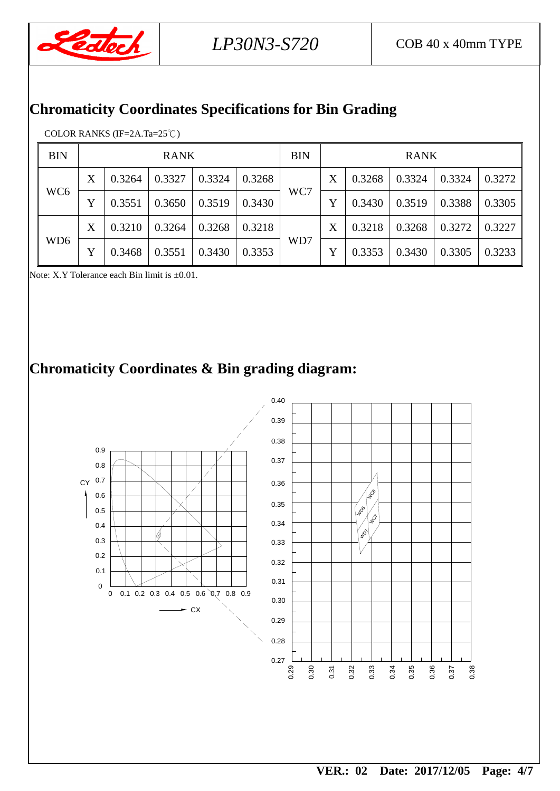

## **Chromaticity Coordinates Specifications for Bin Grading**

#### COLOR RANKS (IF=2A.Ta=25℃)

| <b>BIN</b>      | <b>RANK</b> |        |        |        |        | <b>BIN</b> | <b>RANK</b> |        |        |        |        |
|-----------------|-------------|--------|--------|--------|--------|------------|-------------|--------|--------|--------|--------|
| WC <sub>6</sub> | X           | 0.3264 | 0.3327 | 0.3324 | 0.3268 | WC7        | X           | 0.3268 | 0.3324 | 0.3324 | 0.3272 |
|                 |             | 0.3551 | 0.3650 | 0.3519 | 0.3430 |            |             | 0.3430 | 0.3519 | 0.3388 | 0.3305 |
| WD6             | X           | 0.3210 | 0.3264 | 0.3268 | 0.3218 | WD7        | X           | 0.3218 | 0.3268 | 0.3272 | 0.3227 |
|                 |             | 0.3468 | 0.3551 | 0.3430 | 0.3353 |            |             | 0.3353 | 0.3430 | 0.3305 | 0.3233 |

Note: X.Y Tolerance each Bin limit is  $\pm 0.01$ .

# **Chromaticity Coordinates & Bin grading diagram:**

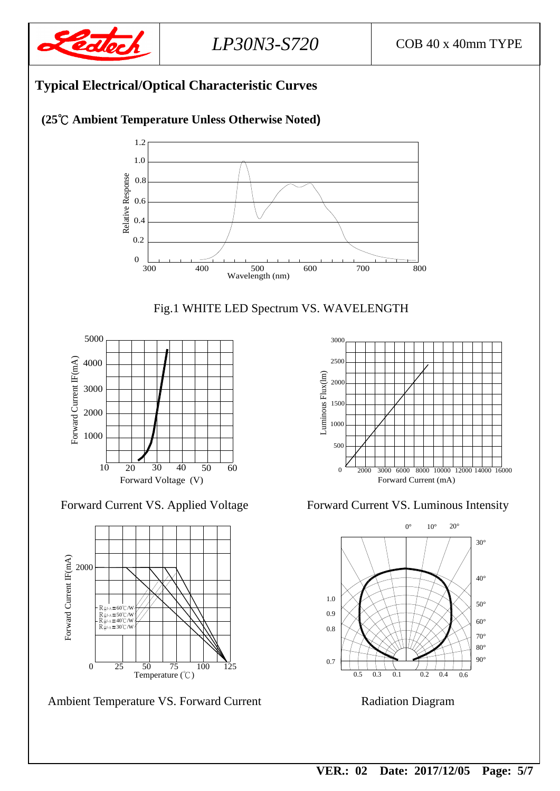

#### **Typical Electrical/Optical Characteristic Curves (25**℃ **Ambient Temperature Unless Otherwise Noted)** 1.2 1.0 Relative Response Relative Response 0.8 0.6 0.4 0.2 0

300 400 500 600

 $500$ <br>Wavelength (nm)



400 500 600 700 800





Ambient Temperature VS. Forward Current Radiation Diagram



Forward Current VS. Applied Voltage Forward Current VS. Luminous Intensity

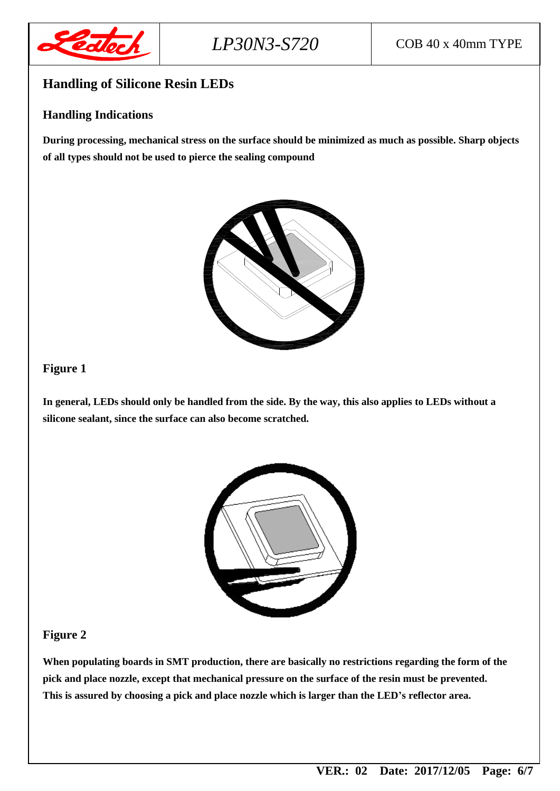

#### **Handling of Silicone Resin LEDs**

#### **Handling Indications**

**During processing, mechanical stress on the surface should be minimized as much as possible. Sharp objects of all types should not be used to pierce the sealing compound**



#### **Figure 1**

**In general, LEDs should only be handled from the side. By the way, this also applies to LEDs without a silicone sealant, since the surface can also become scratched.**



#### **Figure 2**

**When populating boards in SMT production, there are basically no restrictions regarding the form of the pick and place nozzle, except that mechanical pressure on the surface of the resin must be prevented. This is assured by choosing a pick and place nozzle which is larger than the LED's reflector area.**